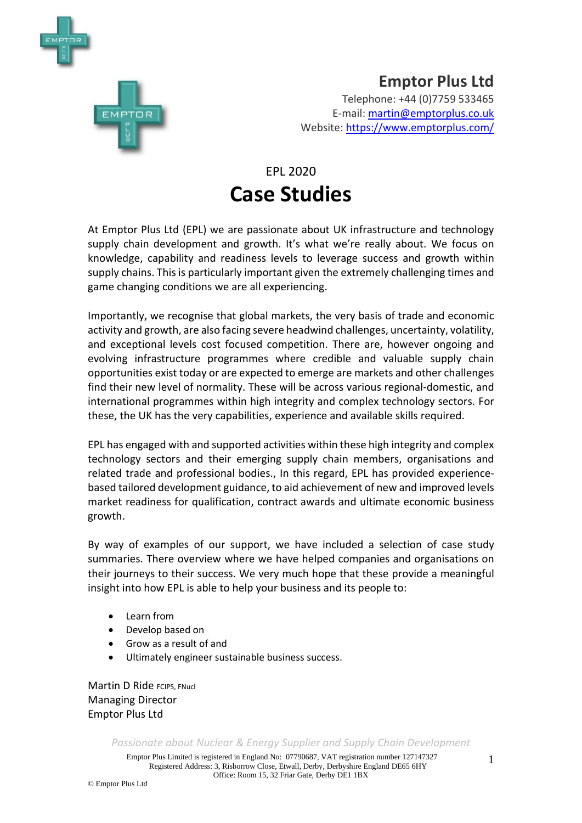

**Emptor Plus Ltd** Telephone: +44 (0)7759 533465 E-mail: [martin@emptorplus.co.uk](mailto:martin@emptorplus.co.uk) Website:<https://www.emptorplus.com/>

# EPL 2020 **Case Studies**

At Emptor Plus Ltd (EPL) we are passionate about UK infrastructure and technology supply chain development and growth. It's what we're really about. We focus on knowledge, capability and readiness levels to leverage success and growth within supply chains. This is particularly important given the extremely challenging times and game changing conditions we are all experiencing.

Importantly, we recognise that global markets, the very basis of trade and economic activity and growth, are also facing severe headwind challenges, uncertainty, volatility, and exceptional levels cost focused competition. There are, however ongoing and evolving infrastructure programmes where credible and valuable supply chain opportunities exist today or are expected to emerge are markets and other challenges find their new level of normality. These will be across various regional-domestic, and international programmes within high integrity and complex technology sectors. For these, the UK has the very capabilities, experience and available skills required.

EPL has engaged with and supported activities within these high integrity and complex technology sectors and their emerging supply chain members, organisations and related trade and professional bodies., In this regard, EPL has provided experiencebased tailored development guidance, to aid achievement of new and improved levels market readiness for qualification, contract awards and ultimate economic business growth.

By way of examples of our support, we have included a selection of case study summaries. There overview where we have helped companies and organisations on their journeys to their success. We very much hope that these provide a meaningful insight into how EPL is able to help your business and its people to:

- Learn from
- Develop based on
- Grow as a result of and
- Ultimately engineer sustainable business success.

**Martin D Ride FCIPS, FNucl** Managing Director Emptor Plus Ltd

*Passionate about Nuclear & Energy Supplier and Supply Chain Development*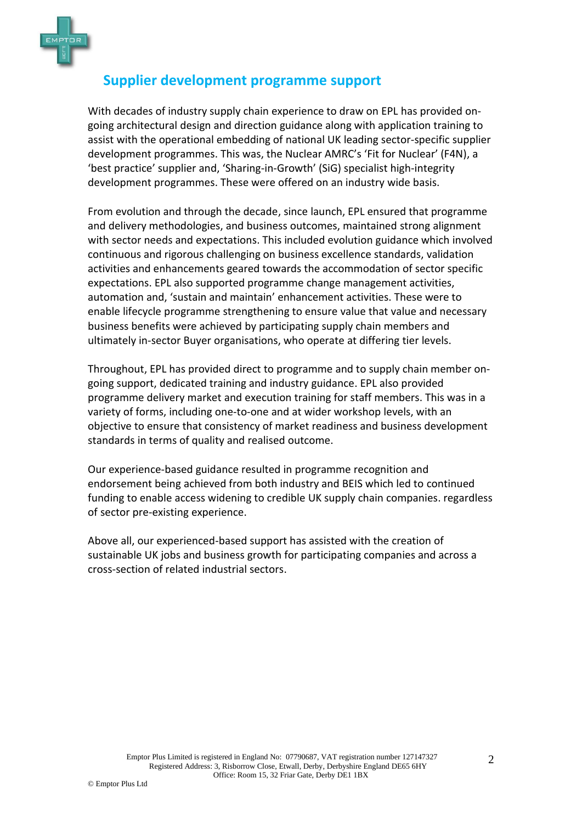

#### **Supplier development programme support**

With decades of industry supply chain experience to draw on EPL has provided ongoing architectural design and direction guidance along with application training to assist with the operational embedding of national UK leading sector-specific supplier development programmes. This was, the Nuclear AMRC's 'Fit for Nuclear' (F4N), a 'best practice' supplier and, 'Sharing-in-Growth' (SiG) specialist high-integrity development programmes. These were offered on an industry wide basis.

From evolution and through the decade, since launch, EPL ensured that programme and delivery methodologies, and business outcomes, maintained strong alignment with sector needs and expectations. This included evolution guidance which involved continuous and rigorous challenging on business excellence standards, validation activities and enhancements geared towards the accommodation of sector specific expectations. EPL also supported programme change management activities, automation and, 'sustain and maintain' enhancement activities. These were to enable lifecycle programme strengthening to ensure value that value and necessary business benefits were achieved by participating supply chain members and ultimately in-sector Buyer organisations, who operate at differing tier levels.

Throughout, EPL has provided direct to programme and to supply chain member ongoing support, dedicated training and industry guidance. EPL also provided programme delivery market and execution training for staff members. This was in a variety of forms, including one-to-one and at wider workshop levels, with an objective to ensure that consistency of market readiness and business development standards in terms of quality and realised outcome.

Our experience-based guidance resulted in programme recognition and endorsement being achieved from both industry and BEIS which led to continued funding to enable access widening to credible UK supply chain companies. regardless of sector pre-existing experience.

Above all, our experienced-based support has assisted with the creation of sustainable UK jobs and business growth for participating companies and across a cross-section of related industrial sectors.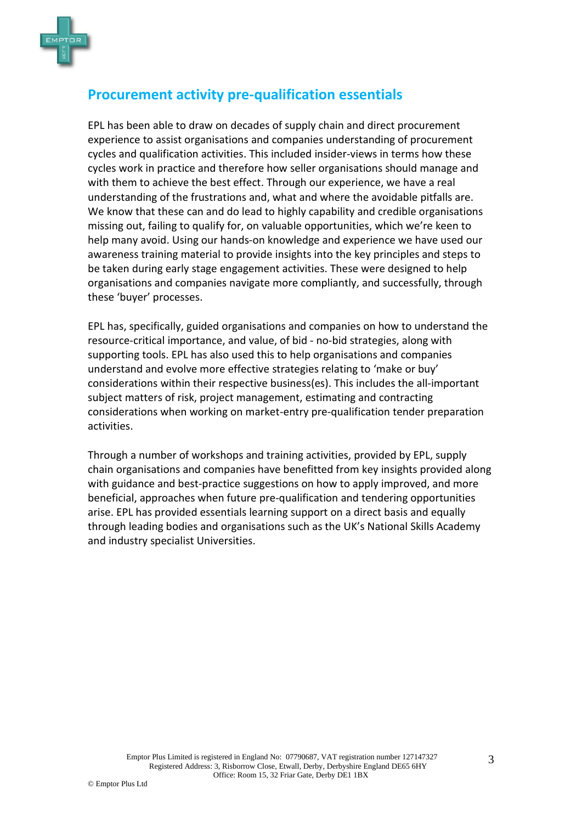

## **Procurement activity pre-qualification essentials**

EPL has been able to draw on decades of supply chain and direct procurement experience to assist organisations and companies understanding of procurement cycles and qualification activities. This included insider-views in terms how these cycles work in practice and therefore how seller organisations should manage and with them to achieve the best effect. Through our experience, we have a real understanding of the frustrations and, what and where the avoidable pitfalls are. We know that these can and do lead to highly capability and credible organisations missing out, failing to qualify for, on valuable opportunities, which we're keen to help many avoid. Using our hands-on knowledge and experience we have used our awareness training material to provide insights into the key principles and steps to be taken during early stage engagement activities. These were designed to help organisations and companies navigate more compliantly, and successfully, through these 'buyer' processes.

EPL has, specifically, guided organisations and companies on how to understand the resource-critical importance, and value, of bid - no-bid strategies, along with supporting tools. EPL has also used this to help organisations and companies understand and evolve more effective strategies relating to 'make or buy' considerations within their respective business(es). This includes the all-important subject matters of risk, project management, estimating and contracting considerations when working on market-entry pre-qualification tender preparation activities.

Through a number of workshops and training activities, provided by EPL, supply chain organisations and companies have benefitted from key insights provided along with guidance and best-practice suggestions on how to apply improved, and more beneficial, approaches when future pre-qualification and tendering opportunities arise. EPL has provided essentials learning support on a direct basis and equally through leading bodies and organisations such as the UK's National Skills Academy and industry specialist Universities.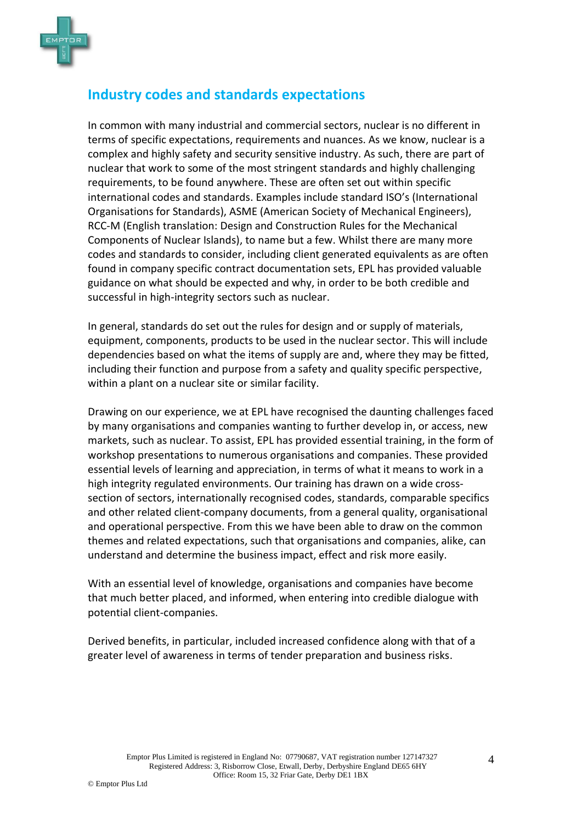

# **Industry codes and standards expectations**

In common with many industrial and commercial sectors, nuclear is no different in terms of specific expectations, requirements and nuances. As we know, nuclear is a complex and highly safety and security sensitive industry. As such, there are part of nuclear that work to some of the most stringent standards and highly challenging requirements, to be found anywhere. These are often set out within specific international codes and standards. Examples include standard ISO's (International Organisations for Standards), ASME (American Society of Mechanical Engineers), RCC-M (English translation: Design and Construction Rules for the Mechanical Components of Nuclear Islands), to name but a few. Whilst there are many more codes and standards to consider, including client generated equivalents as are often found in company specific contract documentation sets, EPL has provided valuable guidance on what should be expected and why, in order to be both credible and successful in high-integrity sectors such as nuclear.

In general, standards do set out the rules for design and or supply of materials, equipment, components, products to be used in the nuclear sector. This will include dependencies based on what the items of supply are and, where they may be fitted, including their function and purpose from a safety and quality specific perspective, within a plant on a nuclear site or similar facility.

Drawing on our experience, we at EPL have recognised the daunting challenges faced by many organisations and companies wanting to further develop in, or access, new markets, such as nuclear. To assist, EPL has provided essential training, in the form of workshop presentations to numerous organisations and companies. These provided essential levels of learning and appreciation, in terms of what it means to work in a high integrity regulated environments. Our training has drawn on a wide crosssection of sectors, internationally recognised codes, standards, comparable specifics and other related client-company documents, from a general quality, organisational and operational perspective. From this we have been able to draw on the common themes and related expectations, such that organisations and companies, alike, can understand and determine the business impact, effect and risk more easily.

With an essential level of knowledge, organisations and companies have become that much better placed, and informed, when entering into credible dialogue with potential client-companies.

Derived benefits, in particular, included increased confidence along with that of a greater level of awareness in terms of tender preparation and business risks.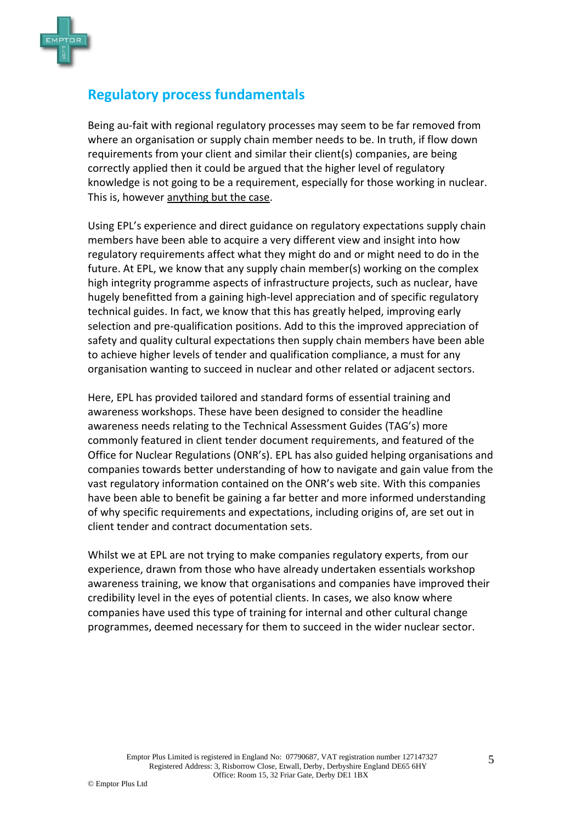

# **Regulatory process fundamentals**

Being au-fait with regional regulatory processes may seem to be far removed from where an organisation or supply chain member needs to be. In truth, if flow down requirements from your client and similar their client(s) companies, are being correctly applied then it could be argued that the higher level of regulatory knowledge is not going to be a requirement, especially for those working in nuclear. This is, however anything but the case.

Using EPL's experience and direct guidance on regulatory expectations supply chain members have been able to acquire a very different view and insight into how regulatory requirements affect what they might do and or might need to do in the future. At EPL, we know that any supply chain member(s) working on the complex high integrity programme aspects of infrastructure projects, such as nuclear, have hugely benefitted from a gaining high-level appreciation and of specific regulatory technical guides. In fact, we know that this has greatly helped, improving early selection and pre-qualification positions. Add to this the improved appreciation of safety and quality cultural expectations then supply chain members have been able to achieve higher levels of tender and qualification compliance, a must for any organisation wanting to succeed in nuclear and other related or adjacent sectors.

Here, EPL has provided tailored and standard forms of essential training and awareness workshops. These have been designed to consider the headline awareness needs relating to the Technical Assessment Guides (TAG's) more commonly featured in client tender document requirements, and featured of the Office for Nuclear Regulations (ONR's). EPL has also guided helping organisations and companies towards better understanding of how to navigate and gain value from the vast regulatory information contained on the ONR's web site. With this companies have been able to benefit be gaining a far better and more informed understanding of why specific requirements and expectations, including origins of, are set out in client tender and contract documentation sets.

Whilst we at EPL are not trying to make companies regulatory experts, from our experience, drawn from those who have already undertaken essentials workshop awareness training, we know that organisations and companies have improved their credibility level in the eyes of potential clients. In cases, we also know where companies have used this type of training for internal and other cultural change programmes, deemed necessary for them to succeed in the wider nuclear sector.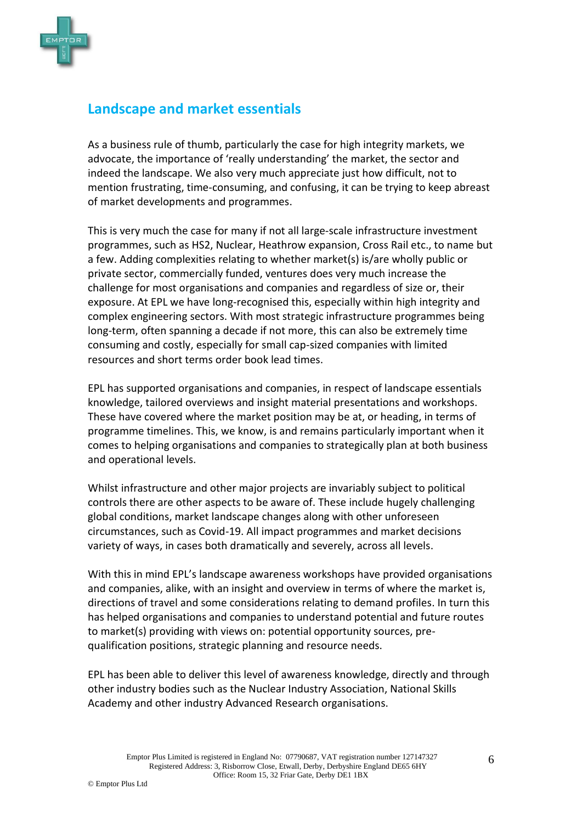

#### **Landscape and market essentials**

As a business rule of thumb, particularly the case for high integrity markets, we advocate, the importance of 'really understanding' the market, the sector and indeed the landscape. We also very much appreciate just how difficult, not to mention frustrating, time-consuming, and confusing, it can be trying to keep abreast of market developments and programmes.

This is very much the case for many if not all large-scale infrastructure investment programmes, such as HS2, Nuclear, Heathrow expansion, Cross Rail etc., to name but a few. Adding complexities relating to whether market(s) is/are wholly public or private sector, commercially funded, ventures does very much increase the challenge for most organisations and companies and regardless of size or, their exposure. At EPL we have long-recognised this, especially within high integrity and complex engineering sectors. With most strategic infrastructure programmes being long-term, often spanning a decade if not more, this can also be extremely time consuming and costly, especially for small cap-sized companies with limited resources and short terms order book lead times.

EPL has supported organisations and companies, in respect of landscape essentials knowledge, tailored overviews and insight material presentations and workshops. These have covered where the market position may be at, or heading, in terms of programme timelines. This, we know, is and remains particularly important when it comes to helping organisations and companies to strategically plan at both business and operational levels.

Whilst infrastructure and other major projects are invariably subject to political controls there are other aspects to be aware of. These include hugely challenging global conditions, market landscape changes along with other unforeseen circumstances, such as Covid-19. All impact programmes and market decisions variety of ways, in cases both dramatically and severely, across all levels.

With this in mind EPL's landscape awareness workshops have provided organisations and companies, alike, with an insight and overview in terms of where the market is, directions of travel and some considerations relating to demand profiles. In turn this has helped organisations and companies to understand potential and future routes to market(s) providing with views on: potential opportunity sources, prequalification positions, strategic planning and resource needs.

EPL has been able to deliver this level of awareness knowledge, directly and through other industry bodies such as the Nuclear Industry Association, National Skills Academy and other industry Advanced Research organisations.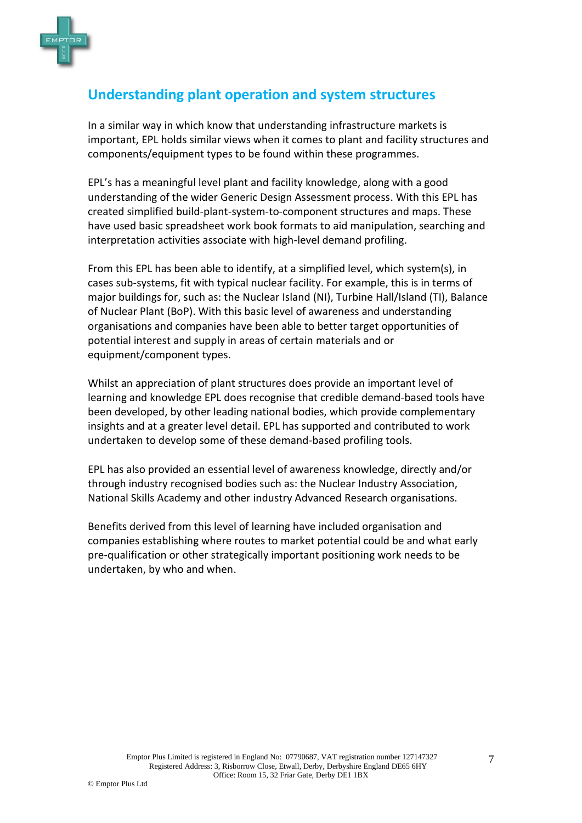

# **Understanding plant operation and system structures**

In a similar way in which know that understanding infrastructure markets is important, EPL holds similar views when it comes to plant and facility structures and components/equipment types to be found within these programmes.

EPL's has a meaningful level plant and facility knowledge, along with a good understanding of the wider Generic Design Assessment process. With this EPL has created simplified build-plant-system-to-component structures and maps. These have used basic spreadsheet work book formats to aid manipulation, searching and interpretation activities associate with high-level demand profiling.

From this EPL has been able to identify, at a simplified level, which system(s), in cases sub-systems, fit with typical nuclear facility. For example, this is in terms of major buildings for, such as: the Nuclear Island (NI), Turbine Hall/Island (TI), Balance of Nuclear Plant (BoP). With this basic level of awareness and understanding organisations and companies have been able to better target opportunities of potential interest and supply in areas of certain materials and or equipment/component types.

Whilst an appreciation of plant structures does provide an important level of learning and knowledge EPL does recognise that credible demand-based tools have been developed, by other leading national bodies, which provide complementary insights and at a greater level detail. EPL has supported and contributed to work undertaken to develop some of these demand-based profiling tools.

EPL has also provided an essential level of awareness knowledge, directly and/or through industry recognised bodies such as: the Nuclear Industry Association, National Skills Academy and other industry Advanced Research organisations.

Benefits derived from this level of learning have included organisation and companies establishing where routes to market potential could be and what early pre-qualification or other strategically important positioning work needs to be undertaken, by who and when.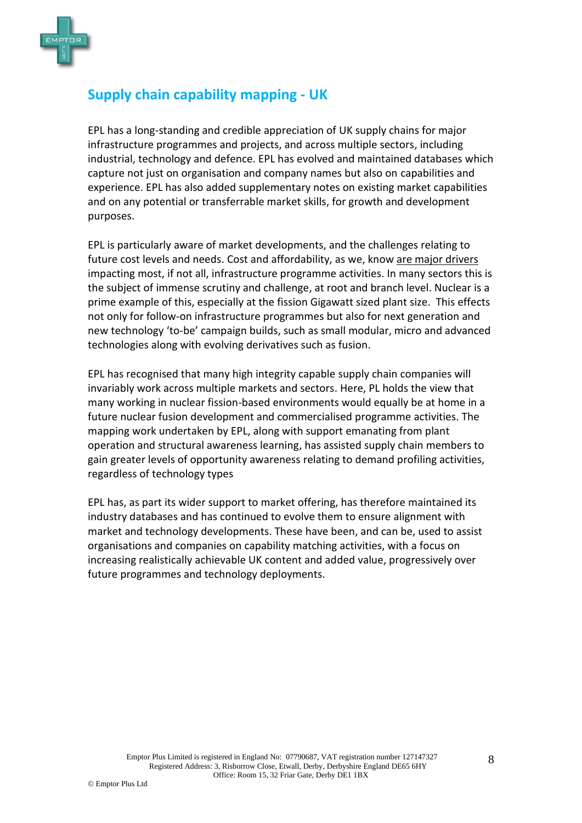

## **Supply chain capability mapping - UK**

EPL has a long-standing and credible appreciation of UK supply chains for major infrastructure programmes and projects, and across multiple sectors, including industrial, technology and defence. EPL has evolved and maintained databases which capture not just on organisation and company names but also on capabilities and experience. EPL has also added supplementary notes on existing market capabilities and on any potential or transferrable market skills, for growth and development purposes.

EPL is particularly aware of market developments, and the challenges relating to future cost levels and needs. Cost and affordability, as we, know are major drivers impacting most, if not all, infrastructure programme activities. In many sectors this is the subject of immense scrutiny and challenge, at root and branch level. Nuclear is a prime example of this, especially at the fission Gigawatt sized plant size. This effects not only for follow-on infrastructure programmes but also for next generation and new technology 'to-be' campaign builds, such as small modular, micro and advanced technologies along with evolving derivatives such as fusion.

EPL has recognised that many high integrity capable supply chain companies will invariably work across multiple markets and sectors. Here, PL holds the view that many working in nuclear fission-based environments would equally be at home in a future nuclear fusion development and commercialised programme activities. The mapping work undertaken by EPL, along with support emanating from plant operation and structural awareness learning, has assisted supply chain members to gain greater levels of opportunity awareness relating to demand profiling activities, regardless of technology types

EPL has, as part its wider support to market offering, has therefore maintained its industry databases and has continued to evolve them to ensure alignment with market and technology developments. These have been, and can be, used to assist organisations and companies on capability matching activities, with a focus on increasing realistically achievable UK content and added value, progressively over future programmes and technology deployments.